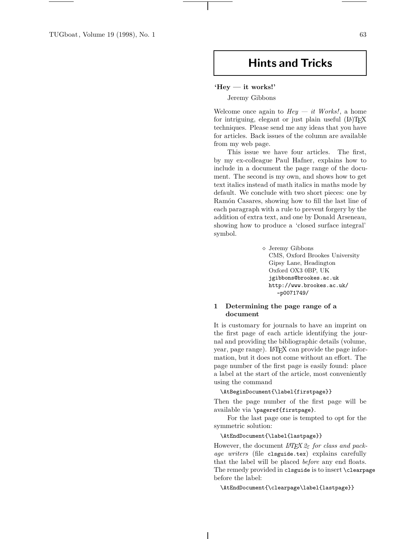TUGboat, Volume 19 (1998), No. 1 63

# **Hints and Tricks**

## **'Hey — it works!'**

Jeremy Gibbons

Welcome once again to  $Hey - it$  Works!, a home for intriguing, elegant or just plain useful  $(L)$ TEX techniques. Please send me any ideas that you have for articles. Back issues of the column are available from my web page.

This issue we have four articles. The first, by my ex-colleague Paul Hafner, explains how to include in a document the page range of the document. The second is my own, and shows how to get text italics instead of math italics in maths mode by default. We conclude with two short pieces: one by Ramón Casares, showing how to fill the last line of each paragraph with a rule to prevent forgery by the addition of extra text, and one by Donald Arseneau, showing how to produce a 'closed surface integral' symbol.

> Jeremy Gibbons CMS, Oxford Brookes University Gipsy Lane, Headington Oxford OX3 0BP, UK jgibbons@brookes.ac.uk http://www.brookes.ac.uk/ ~p0071749/

# **1 Determining the page range of a document**

It is customary for journals to have an imprint on the first page of each article identifying the journal and providing the bibliographic details (volume, year, page range). LATEX can provide the page information, but it does not come without an effort. The page number of the first page is easily found: place a label at the start of the article, most conveniently using the command

#### \AtBeginDocument{\label{firstpage}}

Then the page number of the first page will be available via \pageref{firstpage}.

For the last page one is tempted to opt for the symmetric solution:

## \AtEndDocument{\label{lastpage}}

However, the document  $LATEX \, 2\varepsilon$  for class and package writers (file clsguide.tex) explains carefully that the label will be placed before any end floats. The remedy provided in clsguide is to insert \clearpage before the label:

\AtEndDocument{\clearpage\label{lastpage}}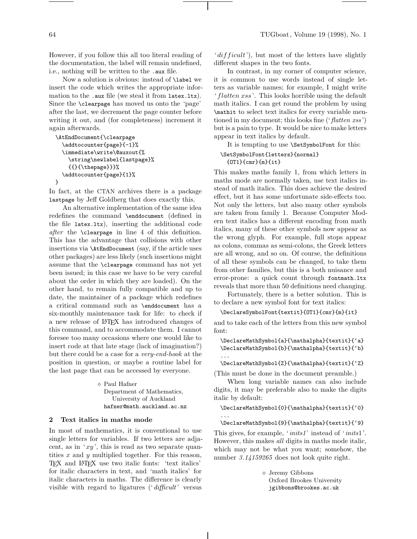However, if you follow this all too literal reading of the documentation, the label will remain undefined, i.e., nothing will be written to the .aux file.

Now a solution is obvious: instead of \label we insert the code which writes the appropriate information to the .aux file (we steal it from latex.ltx). Since the \clearpage has moved us onto the 'page' after the last, we decrement the page counter before writing it out, and (for completeness) increment it again afterwards.

```
\AtEndDocument{\clearpage
  \addtocounter{page}{-1}%
  \immediate\write\@auxout{%
    \string\newlabel{lastpage}%
    {{}{\thepage}}}%
  \addtocounter{page}{1}%
}
```
In fact, at the CTAN archives there is a package lastpage by Jeff Goldberg that does exactly this.

An alternative implementation of the same idea redefines the command \enddocument (defined in the file latex.ltx), inserting the additional code after the \clearpage in line 4 of this definition. This has the advantage that collisions with other insertions via \AtEndDocument (say, if the article uses other packages) are less likely (such insertions might assume that the \clearpage command has not yet been issued; in this case we have to be very careful about the order in which they are loaded). On the other hand, to remain fully compatible and up to date, the maintainer of a package which redefines a critical command such as \enddocument has a six-monthly maintenance task for life: to check if a new release of LATEX has introduced changes of this command, and to accommodate them. I cannot foresee too many occasions where one would like to insert code at that late stage (lack of imagination?) but there could be a case for a very-end-hook at the position in question, or maybe a routine label for the last page that can be accessed by everyone.

> Paul Hafner Department of Mathematics, University of Auckland hafner@math.auckland.ac.nz

# **2 Text italics in maths mode**

In most of mathematics, it is conventional to use single letters for variables. If two letters are adjacent, as in 'xy', this is read as two separate quantities x and y multiplied together. For this reason, TEX and LATEX use two italic fonts: 'text italics' for italic characters in text, and 'math italics' for italic characters in maths. The difference is clearly visible with regard to ligatures (' $difficult$ ' versus

 $'difficult$ , but most of the letters have slightly different shapes in the two fonts.

In contrast, in my corner of computer science, it is common to use words instead of single letters as variable names; for example, I might write 'flatten xss '. This looks horrible using the default math italics. I can get round the problem by using \mathit to select text italics for every variable mentioned in my document; this looks fine (' $flatten \; xss$ ') but is a pain to type. It would be nice to make letters appear in text italics by default.

It is tempting to use \SetSymbolFont for this:

# \SetSymbolFont{letters}{normal} {OT1}{cmr}{m}{it}

This makes maths family 1, from which letters in maths mode are normally taken, use text italics instead of math italics. This does achieve the desired effect, but it has some unfortunate side-effects too. Not only the letters, but also many other symbols are taken from family 1. Because Computer Modern text italics has a different encoding from math italics, many of these other symbols now appear as the wrong glyph. For example, full stops appear as colons, commas as semi-colons, the Greek letters are all wrong, and so on. Of course, the definitions of all these symbols can be changed, to take them from other families, but this is a both nuisance and error-prone: a quick count through fontmath.ltx reveals that more than 50 definitions need changing.

Fortunately, there is a better solution. This is to declare a new symbol font for text italics:

#### \DeclareSymbolFont{textit}{OT1}{cmr}{m}{it}

and to take each of the letters from this new symbol font:

\DeclareMathSymbol{a}{\mathalpha}{textit}{'a} \DeclareMathSymbol{b}{\mathalpha}{textit}{'b} ...

\DeclareMathSymbol{Z}{\mathalpha}{textit}{'Z}

(This must be done in the document preamble.)

When long variable names can also include digits, it may be preferable also to make the digits italic by default:

\DeclareMathSymbol{0}{\mathalpha}{textit}{'0}

```
\DeclareMathSymbol{9}{\mathalpha}{textit}{'9}
```
...

This gives, for example, '*inits1*' instead of '*inits1*'. However, this makes all digits in maths mode italic, which may not be what you want; somehow, the number 3.14159265 does not look quite right.

> Jeremy Gibbons Oxford Brookes University jgibbons@brookes.ac.uk